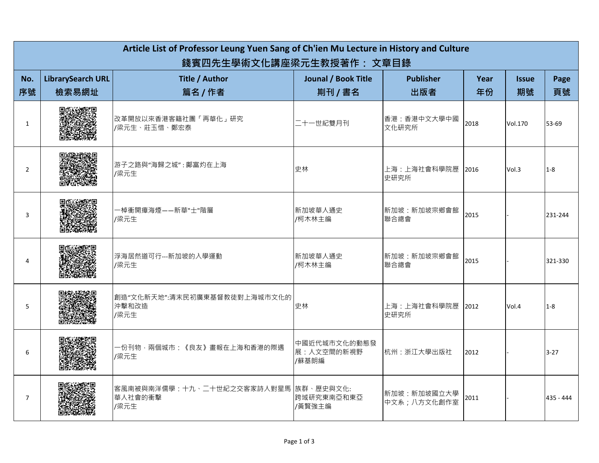| Article List of Professor Leung Yuen Sang of Ch'ien Mu Lecture in History and Culture<br>錢賓四先生學術文化講座梁元生教授著作: 文章目錄 |                                   |                                                          |                                       |                            |            |                    |            |
|-------------------------------------------------------------------------------------------------------------------|-----------------------------------|----------------------------------------------------------|---------------------------------------|----------------------------|------------|--------------------|------------|
| No.<br>序號                                                                                                         | <b>LibrarySearch URL</b><br>檢索易網址 | Title / Author<br>篇名 / 作者                                | <b>Jounal / Book Title</b><br>則刊 / 書名 | <b>Publisher</b><br>出版者    | Year<br>年份 | <b>Issue</b><br>期號 | Page<br>頁號 |
| $\mathbf{1}$                                                                                                      |                                   | 改革開放以來香港客籍社團「再華化」研究<br>/梁元生、莊玉惜、鄭宏泰                      | 二十一世紀雙月刊                              | 香港:香港中文大學中國<br>文化研究所       | 2018       | Vol.170            | 53-69      |
| $\overline{2}$                                                                                                    | <b>「大学をする」</b>                    | 浙子之路與"海歸之城": 鄺富灼在上海<br>/梁元生                              | 史林                                    | 上海:上海社會科學院歷<br>史研究所        | 2016       | Vol.3              | $1-8$      |
| 3                                                                                                                 |                                   | 一棹衝開瘴海煙——新華"士"階層<br>/梁元生                                 | 新加坡華人通史<br>/柯木林主编                     | 新加坡:新加坡宗鄉會館<br>聯合總會        | 2015       |                    | 231-244    |
| Δ                                                                                                                 |                                   | 浮海居然道可行---新加坡的入學運動<br>/梁元生                               | 新加坡華人通史<br>/柯木林主编                     | 新加坡:新加坡宗鄉會館<br>聯合總會        | 2015       |                    | 321-330    |
| 5                                                                                                                 |                                   | 創造"文化新天地":清末民初廣東基督教徒對上海城市文化的<br>沖擊和改造<br>/梁元生            | 史林                                    | 上海:上海社會科學院歷<br>史研究所        | 2012       | Vol.4              | $1-8$      |
| 6                                                                                                                 |                                   | 一份刊物,兩個城市:《良友》畫報在上海和香港的際遇<br>/梁元生                        | 中國近代城市文化的動態發<br>展:人文空間的新視野<br>/蘇基朗編   | 杭州:浙江大學出版社                 | 2012       |                    | $3 - 27$   |
| $\overline{7}$                                                                                                    |                                   | 客風南被與南洋儒學:十九、□十世紀之交客家詩人對星馬  族群、歷史與文化:<br>華人社會的衝擊<br>/梁元生 | 跨域研究東南亞和東亞<br>/黃賢強主编                  | 新加坡:新加坡國立大學<br>中文系;八方文化創作室 | 2011       |                    | 435 - 444  |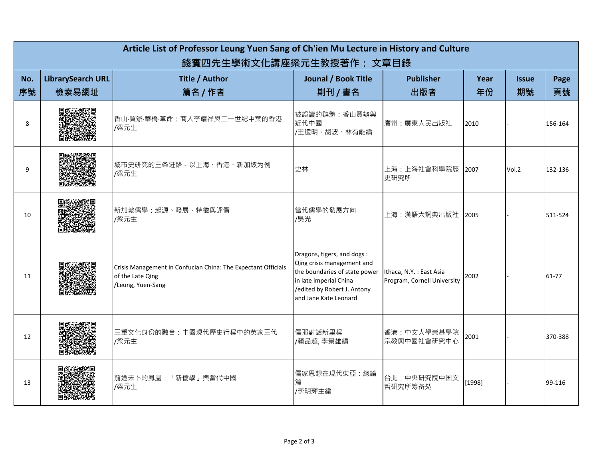| Article List of Professor Leung Yuen Sang of Ch'ien Mu Lecture in History and Culture<br>錢賓四先生學術文化講座梁元生教授著作: 文章目錄 |                                   |                                                                                                        |                                                                                                                                                                              |                                                         |            |                    |            |
|-------------------------------------------------------------------------------------------------------------------|-----------------------------------|--------------------------------------------------------------------------------------------------------|------------------------------------------------------------------------------------------------------------------------------------------------------------------------------|---------------------------------------------------------|------------|--------------------|------------|
| No.<br>序號                                                                                                         | <b>LibrarySearch URL</b><br>檢索易網址 | Title / Author<br>篇名 / 作者                                                                              | Jounal / Book Title<br>則刊 / 書名                                                                                                                                               | <b>Publisher</b><br>出版者                                 | Year<br>年份 | <b>Issue</b><br>期號 | Page<br>頁號 |
| 8                                                                                                                 |                                   | 香山·買辦·華橋·革命:商人李耀祥與二十世紀中葉的香港<br>/梁元生                                                                    | 被誤讀的群體:香山買辦與<br>近代中國<br>/王遠明、胡波、林有能編                                                                                                                                         | 廣州:廣東人民出版社                                              | 2010       |                    | 156-164    |
| 9                                                                                                                 |                                   | 城市史研究的三条进路 - 以上海、香港、新加坡为例<br>/梁元生                                                                      | 史林                                                                                                                                                                           | 上海:上海社會科學院歷<br>史研究所                                     | 2007       | Vol.2              | 132-136    |
| 10                                                                                                                |                                   | 新加坡儒學:起源、發展、特徵與評價<br>/梁元生                                                                              | 當代儒學的發展方向<br>/吳光                                                                                                                                                             | 上海:漢語大詞典出版社 2005                                        |            |                    | 511-524    |
| 11                                                                                                                |                                   | Crisis Management in Confucian China: The Expectant Officials<br>of the Late Qing<br>/Leung, Yuen-Sang | Dragons, tigers, and dogs :<br>Qing crisis management and<br>the boundaries of state power<br>in late imperial China<br>/edited by Robert J. Antony<br>and Jane Kate Leonard | Ithaca, N.Y. : East Asia<br>Program, Cornell University | 2002       |                    | 61-77      |
| 12                                                                                                                |                                   | 三重文化身份的融合:中國現代歷史行程中的英家三代<br>/梁元生                                                                       | 儒耶對話新里程<br>/賴品超, 李景雄編                                                                                                                                                        | 香港:中文大學崇基學院<br>宗教與中國社會研究中心                              | 2001       |                    | 370-388    |
| 13                                                                                                                |                                   | 前途未卜的鳳凰:「新儒學」與當代中國<br>/梁元生                                                                             | 儒家思想在現代東亞:總論<br>篇<br>/李明輝主編                                                                                                                                                  | 台北:中央研究院中国文<br>哲研究所筹备处                                  | [1998]     |                    | 99-116     |